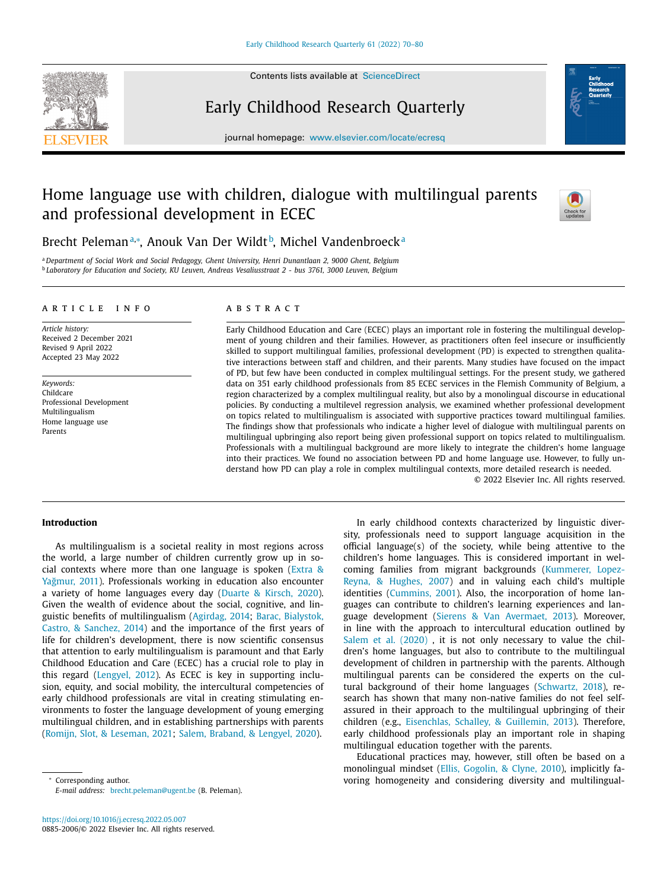Contents lists available at [ScienceDirect](http://www.ScienceDirect.com)

# Early Childhood Research Quarterly



journal homepage: [www.elsevier.com/locate/ecresq](http://www.elsevier.com/locate/ecresq)

# Home language use with children, dialogue with multilingual parents and professional development in ECEC



# Brecht Pelemanª∗, Anouk Van Der Wildt<sup>b</sup>, Michel Vandenbroeck<sup>a</sup>

<sup>a</sup> *Department of Social Work and Social Pedagogy, Ghent University, Henri Dunantlaan 2, 9000 Ghent, Belgium* <sup>b</sup> *Laboratory for Education and Society, KU Leuven, Andreas Vesaliusstraat 2 - bus 3761, 3000 Leuven, Belgium*

# a r t i c l e i n f o

*Article history:* Received 2 December 2021 Revised 9 April 2022 Accepted 23 May 2022

*Keywords:* Childcare Professional Development Multilingualism Home language use Parents

# A B S T R A C T

Early Childhood Education and Care (ECEC) plays an important role in fostering the multilingual development of young children and their families. However, as practitioners often feel insecure or insufficiently skilled to support multilingual families, professional development (PD) is expected to strengthen qualitative interactions between staff and children, and their parents. Many studies have focused on the impact of PD, but few have been conducted in complex multilingual settings. For the present study, we gathered data on 351 early childhood professionals from 85 ECEC services in the Flemish Community of Belgium, a region characterized by a complex multilingual reality, but also by a monolingual discourse in educational policies. By conducting a multilevel regression analysis, we examined whether professional development on topics related to multilingualism is associated with supportive practices toward multilingual families. The findings show that professionals who indicate a higher level of dialogue with multilingual parents on multilingual upbringing also report being given professional support on topics related to multilingualism. Professionals with a multilingual background are more likely to integrate the children's home language into their practices. We found no association between PD and home language use. However, to fully understand how PD can play a role in complex multilingual contexts, more detailed research is needed.

© 2022 Elsevier Inc. All rights reserved.

# **Introduction**

As multilingualism is a societal reality in most regions across the world, a large number of children currently grow up in social contexts where more than one language is spoken (Extra & Yağmur, 2011). [Professionals](#page-9-0) working in education also encounter a variety of home languages every day [\(Duarte](#page-9-0) & Kirsch, 2020). Given the wealth of evidence about the social, cognitive, and linguistic benefits of [multilingualism](#page-9-0) [\(Agirdag,](#page-9-0) 2014; Barac, Bialystok, Castro, & Sanchez, 2014) and the importance of the first years of life for children's development, there is now scientific consensus that attention to early multilingualism is paramount and that Early Childhood Education and Care (ECEC) has a crucial role to play in this regard [\(Lengyel,](#page-9-0) 2012). As ECEC is key in supporting inclusion, equity, and social mobility, the intercultural competencies of early childhood professionals are vital in creating stimulating environments to foster the language development of young emerging multilingual children, and in establishing partnerships with parents (Romijn, Slot, & [Leseman,](#page-10-0) 2021; Salem, [Braband,](#page-10-0) & Lengyel, 2020).

<sup>∗</sup> Corresponding author. *E-mail address:* [brecht.peleman@ugent.be](mailto:brecht.peleman@ugent.be) (B. Peleman).

In early childhood contexts characterized by linguistic diversity, professionals need to support language acquisition in the official language(s) of the society, while being attentive to the children's home languages. This is considered important in welcoming families from migrant [backgrounds](#page-9-0) (Kummerer, Lopez-Reyna, & Hughes, 2007) and in valuing each child's multiple identities [\(Cummins,](#page-9-0) 2001). Also, the incorporation of home languages can contribute to children's learning experiences and language development (Sierens & Van [Avermaet,](#page-10-0) 2013). Moreover, in line with the approach to intercultural education outlined by Salem et al. [\(2020\)](#page-10-0), it is not only necessary to value the children's home languages, but also to contribute to the multilingual development of children in partnership with the parents. Although multilingual parents can be considered the experts on the cultural background of their home languages [\(Schwartz,](#page-10-0) 2018), research has shown that many non-native families do not feel selfassured in their approach to the multilingual upbringing of their children (e.g., [Eisenchlas,](#page-9-0) Schalley, & Guillemin, 2013). Therefore, early childhood professionals play an important role in shaping multilingual education together with the parents.

Educational practices may, however, still often be based on a monolingual mindset (Ellis, [Gogolin,](#page-9-0) & Clyne, 2010), implicitly favoring homogeneity and considering diversity and multilingual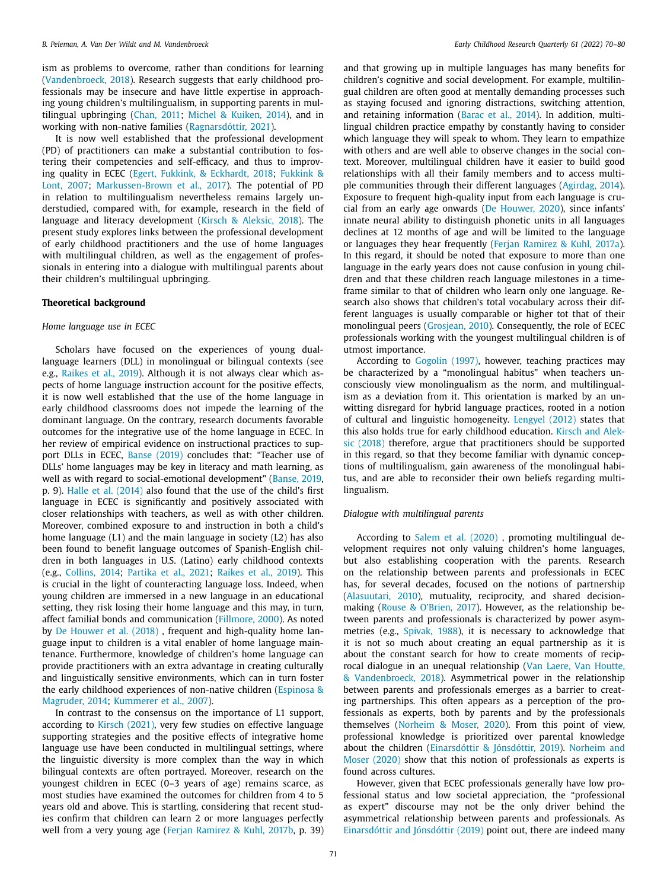ism as problems to overcome, rather than conditions for learning [\(Vandenbroeck,](#page-10-0) 2018). Research suggests that early childhood professionals may be insecure and have little expertise in approaching young children's multilingualism, in supporting parents in multilingual upbringing [\(Chan,](#page-9-0) 2011; Michel & [Kuiken,](#page-10-0) 2014), and in working with non-native families [\(Ragnarsdóttir,](#page-10-0) 2021).

It is now well established that the professional development (PD) of practitioners can make a substantial contribution to fostering their competencies and self-efficacy, and thus to improving quality in ECEC (Egert, Fukkink, & [Eckhardt,](#page-9-0) 2018; Fukkink & Lont, 2007; [Markussen-Brown](#page-9-0) et al., 2017). The potential of PD in relation to multilingualism nevertheless remains largely understudied, compared with, for example, research in the field of language and literacy development (Kirsch & [Aleksic,](#page-9-0) 2018). The present study explores links between the professional development of early childhood practitioners and the use of home languages with multilingual children, as well as the engagement of professionals in entering into a dialogue with multilingual parents about their children's multilingual upbringing.

# **Theoretical background**

# *Home language use in ECEC*

Scholars have focused on the experiences of young duallanguage learners (DLL) in monolingual or bilingual contexts (see e.g., [Raikes](#page-10-0) et al., 2019). Although it is not always clear which aspects of home language instruction account for the positive effects, it is now well established that the use of the home language in early childhood classrooms does not impede the learning of the dominant language. On the contrary, research documents favorable outcomes for the integrative use of the home language in ECEC. In her review of empirical evidence on instructional practices to support DLLs in ECEC, Banse [\(2019\)](#page-9-0) concludes that: "Teacher use of DLLs' home languages may be key in literacy and math learning, as well as with regard to social-emotional development" [\(Banse,](#page-9-0) 2019, p. 9). Halle et al. [\(2014\)](#page-9-0) also found that the use of the child's first language in ECEC is significantly and positively associated with closer relationships with teachers, as well as with other children. Moreover, combined exposure to and instruction in both a child's home language (L1) and the main language in society (L2) has also been found to benefit language outcomes of Spanish-English children in both languages in U.S. (Latino) early childhood contexts (e.g., [Collins,](#page-9-0) 2014; [Partika](#page-10-0) et al., 2021; [Raikes](#page-10-0) et al., 2019). This is crucial in the light of counteracting language loss. Indeed, when young children are immersed in a new language in an educational setting, they risk losing their home language and this may, in turn, affect familial bonds and communication [\(Fillmore,](#page-9-0) 2000). As noted by De [Houwer](#page-9-0) et al. (2018) , frequent and high-quality home language input to children is a vital enabler of home language maintenance. Furthermore, knowledge of children's home language can provide practitioners with an extra advantage in creating culturally and linguistically sensitive environments, which can in turn foster the early childhood [experiences](#page-9-0) of non-native children (Espinosa & Magruder, 2014; [Kummerer](#page-9-0) et al., 2007).

In contrast to the consensus on the importance of L1 support, according to Kirsch [\(2021\),](#page-9-0) very few studies on effective language supporting strategies and the positive effects of integrative home language use have been conducted in multilingual settings, where the linguistic diversity is more complex than the way in which bilingual contexts are often portrayed. Moreover, research on the youngest children in ECEC (0–3 years of age) remains scarce, as most studies have examined the outcomes for children from 4 to 5 years old and above. This is startling, considering that recent studies confirm that children can learn 2 or more languages perfectly well from a very young age (Ferjan [Ramirez](#page-9-0) & Kuhl, 2017b, p. 39) and that growing up in multiple languages has many benefits for children's cognitive and social development. For example, multilingual children are often good at mentally demanding processes such as staying focused and ignoring distractions, switching attention, and retaining information [\(Barac](#page-9-0) et al., 2014). In addition, multilingual children practice empathy by constantly having to consider which language they will speak to whom. They learn to empathize with others and are well able to observe changes in the social context. Moreover, multilingual children have it easier to build good relationships with all their family members and to access multiple communities through their different languages [\(Agirdag,](#page-9-0) 2014). Exposure to frequent high-quality input from each language is crucial from an early age onwards (De [Houwer,](#page-9-0) 2020), since infants' innate neural ability to distinguish phonetic units in all languages declines at 12 months of age and will be limited to the language or languages they hear frequently (Ferjan [Ramirez](#page-9-0) & Kuhl, 2017a). In this regard, it should be noted that exposure to more than one language in the early years does not cause confusion in young children and that these children reach language milestones in a timeframe similar to that of children who learn only one language. Research also shows that children's total vocabulary across their different languages is usually comparable or higher tot that of their monolingual peers [\(Grosjean,](#page-9-0) 2010). Consequently, the role of ECEC professionals working with the youngest multilingual children is of utmost importance.

According to [Gogolin](#page-9-0) (1997), however, teaching practices may be characterized by a "monolingual habitus" when teachers unconsciously view monolingualism as the norm, and multilingualism as a deviation from it. This orientation is marked by an unwitting disregard for hybrid language practices, rooted in a notion of cultural and linguistic homogeneity. [Lengyel](#page-9-0) (2012) states that this also holds true for early childhood education. Kirsch and Aleksic (2018) therefore, argue that [practitioners](#page-9-0) should be supported in this regard, so that they become familiar with dynamic conceptions of multilingualism, gain awareness of the monolingual habitus, and are able to reconsider their own beliefs regarding multilingualism.

## *Dialogue with multilingual parents*

According to Salem et al. [\(2020\)](#page-10-0) , promoting multilingual development requires not only valuing children's home languages, but also establishing cooperation with the parents. Research on the relationship between parents and professionals in ECEC has, for several decades, focused on the notions of partnership [\(Alasuutari,](#page-9-0) 2010), mutuality, reciprocity, and shared decisionmaking (Rouse & [O'Brien,](#page-10-0) 2017). However, as the relationship between parents and professionals is characterized by power asymmetries (e.g., [Spivak,](#page-10-0) 1988), it is necessary to acknowledge that it is not so much about creating an equal partnership as it is about the constant search for how to create moments of reciprocal dialogue in an unequal relationship (Van Laere, Van Houtte, & [Vandenbroeck,](#page-10-0) 2018). Asymmetrical power in the relationship between parents and professionals emerges as a barrier to creating partnerships. This often appears as a perception of the professionals as experts, both by parents and by the professionals themselves [\(Norheim](#page-10-0) & Moser, 2020). From this point of view, professional knowledge is prioritized over parental knowledge about the children [\(Einarsdóttir](#page-9-0) & Jónsdóttir, 2019). Norheim and Moser (2020) show that this notion of [professionals](#page-10-0) as experts is found across cultures.

However, given that ECEC professionals generally have low professional status and low societal appreciation, the "professional as expert" discourse may not be the only driver behind the asymmetrical relationship between parents and professionals. As [Einarsdóttir](#page-9-0) and Jónsdóttir (2019) point out, there are indeed many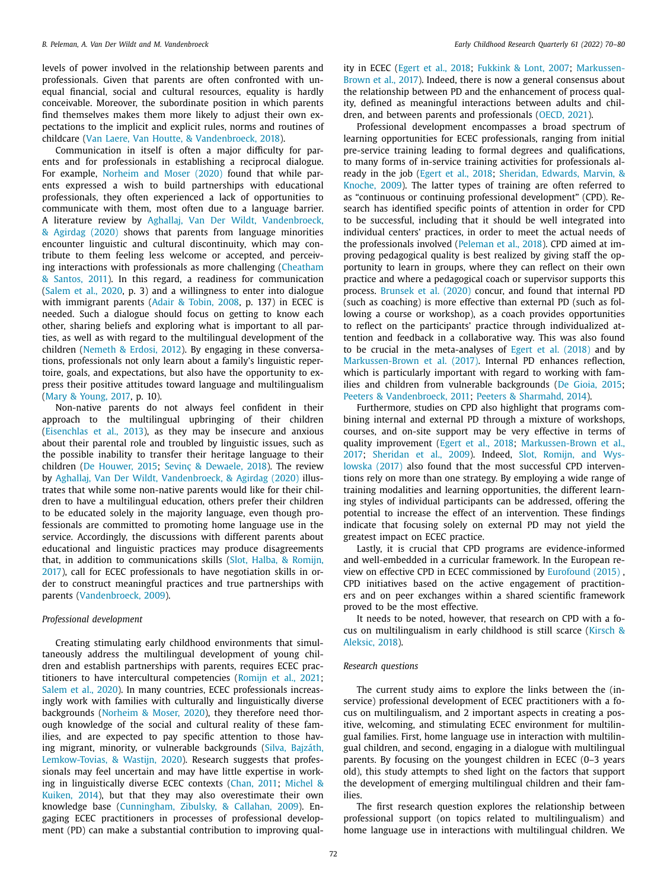levels of power involved in the relationship between parents and professionals. Given that parents are often confronted with unequal financial, social and cultural resources, equality is hardly conceivable. Moreover, the subordinate position in which parents find themselves makes them more likely to adjust their own expectations to the implicit and explicit rules, norms and routines of childcare (Van Laere, Van Houtte, & [Vandenbroeck,](#page-10-0) 2018).

Communication in itself is often a major difficulty for parents and for professionals in establishing a reciprocal dialogue. For example, [Norheim](#page-10-0) and Moser (2020) found that while parents expressed a wish to build partnerships with educational professionals, they often experienced a lack of opportunities to communicate with them, most often due to a language barrier. A literature review by Aghallaj, Van Der Wildt, [Vandenbroeck,](#page-9-0) & Agirdag (2020) shows that parents from language minorities encounter linguistic and cultural discontinuity, which may contribute to them feeling less welcome or accepted, and perceiving interactions with professionals as more challenging (Cheatham & Santos, 2011). In this regard, a readiness for [communication](#page-9-0) [\(Salem](#page-10-0) et al., 2020, p. 3) and a willingness to enter into dialogue with immigrant parents (Adair & [Tobin,](#page-9-0) 2008, p. 137) in ECEC is needed. Such a dialogue should focus on getting to know each other, sharing beliefs and exploring what is important to all parties, as well as with regard to the multilingual development of the children [\(Nemeth](#page-10-0) & Erdosi, 2012). By engaging in these conversations, professionals not only learn about a family's linguistic repertoire, goals, and expectations, but also have the opportunity to express their positive attitudes toward language and multilingualism (Mary & [Young,](#page-10-0) 2017, p. 10).

Non-native parents do not always feel confident in their approach to the multilingual upbringing of their children [\(Eisenchlas](#page-9-0) et al., 2013), as they may be insecure and anxious about their parental role and troubled by linguistic issues, such as the possible inability to transfer their heritage language to their children (De [Houwer,](#page-9-0) 2015; Sevinç & [Dewaele,](#page-10-0) 2018). The review by Aghallaj, Van Der Wildt, [Vandenbroeck,](#page-9-0) & Agirdag (2020) illustrates that while some non-native parents would like for their children to have a multilingual education, others prefer their children to be educated solely in the majority language, even though professionals are committed to promoting home language use in the service. Accordingly, the discussions with different parents about educational and linguistic practices may produce disagreements that, in addition to [communications](#page-10-0) skills (Slot, Halba, & Romijn, 2017), call for ECEC professionals to have negotiation skills in order to construct meaningful practices and true partnerships with parents [\(Vandenbroeck,](#page-10-0) 2009).

# *Professional development*

Creating stimulating early childhood environments that simultaneously address the multilingual development of young children and establish partnerships with parents, requires ECEC practitioners to have intercultural competencies [\(Romijn](#page-10-0) et al., 2021; [Salem](#page-10-0) et al., 2020). In many countries, ECEC professionals increasingly work with families with culturally and linguistically diverse backgrounds [\(Norheim](#page-10-0) & Moser, 2020), they therefore need thorough knowledge of the social and cultural reality of these families, and are expected to pay specific attention to those having migrant, minority, or vulnerable backgrounds (Silva, Bajzáth, [Lemkow-Tovias,](#page-10-0) & Wastijn, 2020). Research suggests that professionals may feel uncertain and may have little expertise in working in linguistically diverse ECEC contexts [\(Chan,](#page-9-0) 2011; Michel & Kuiken, 2014), but that they may also [overestimate](#page-10-0) their own knowledge base [\(Cunningham,](#page-9-0) Zibulsky, & Callahan, 2009). Engaging ECEC practitioners in processes of professional development (PD) can make a substantial contribution to improving quality in ECEC [\(Egert](#page-9-0) et al., 2018; [Fukkink](#page-9-0) & Lont, 2007; [Markussen-](#page-10-0)Brown et al., 2017). Indeed, there is now a general consensus about the relationship between PD and the enhancement of process quality, defined as meaningful interactions between adults and children, and between parents and professionals [\(OECD,](#page-10-0) 2021).

Professional development encompasses a broad spectrum of learning opportunities for ECEC professionals, ranging from initial pre-service training leading to formal degrees and qualifications, to many forms of in-service training activities for professionals already in the job [\(Egert](#page-9-0) et al., 2018; [Sheridan,](#page-10-0) Edwards, Marvin, & Knoche, 2009). The latter types of training are often referred to as "continuous or continuing professional development" (CPD). Research has identified specific points of attention in order for CPD to be successful, including that it should be well integrated into individual centers' practices, in order to meet the actual needs of the professionals involved [\(Peleman](#page-10-0) et al., 2018). CPD aimed at improving pedagogical quality is best realized by giving staff the opportunity to learn in groups, where they can reflect on their own practice and where a pedagogical coach or supervisor supports this process. [Brunsek](#page-9-0) et al. (2020) concur, and found that internal PD (such as coaching) is more effective than external PD (such as following a course or workshop), as a coach provides opportunities to reflect on the participants' practice through individualized attention and feedback in a collaborative way. This was also found to be crucial in the meta-analyses of Egert et al. [\(2018\)](#page-9-0) and by [Markussen-Brown](#page-10-0) et al. (2017). Internal PD enhances reflection, which is particularly important with regard to working with families and children from vulnerable backgrounds (De [Gioia,](#page-9-0) 2015; Peeters & [Vandenbroeck,](#page-10-0) 2011; Peeters & [Sharmahd,](#page-10-0) 2014).

Furthermore, studies on CPD also highlight that programs combining internal and external PD through a mixture of workshops, courses, and on-site support may be very effective in terms of quality improvement [\(Egert](#page-9-0) et al., 2018; [Markussen-Brown](#page-10-0) et al., 2017; [Sheridan](#page-10-0) et al., 2009). Indeed, Slot, Romijn, and Wyslowska (2017) also found that the most [successful](#page-10-0) CPD interventions rely on more than one strategy. By employing a wide range of training modalities and learning opportunities, the different learning styles of individual participants can be addressed, offering the potential to increase the effect of an intervention. These findings indicate that focusing solely on external PD may not yield the greatest impact on ECEC practice.

Lastly, it is crucial that CPD programs are evidence-informed and well-embedded in a curricular framework. In the European review on effective CPD in ECEC commissioned by [Eurofound](#page-9-0) (2015) , CPD initiatives based on the active engagement of practitioners and on peer exchanges within a shared scientific framework proved to be the most effective.

It needs to be noted, however, that research on CPD with a focus on [multilingualism](#page-9-0) in early childhood is still scarce (Kirsch & Aleksic, 2018).

## *Research questions*

The current study aims to explore the links between the (inservice) professional development of ECEC practitioners with a focus on multilingualism, and 2 important aspects in creating a positive, welcoming, and stimulating ECEC environment for multilingual families. First, home language use in interaction with multilingual children, and second, engaging in a dialogue with multilingual parents. By focusing on the youngest children in ECEC (0–3 years old), this study attempts to shed light on the factors that support the development of emerging multilingual children and their families.

The first research question explores the relationship between professional support (on topics related to multilingualism) and home language use in interactions with multilingual children. We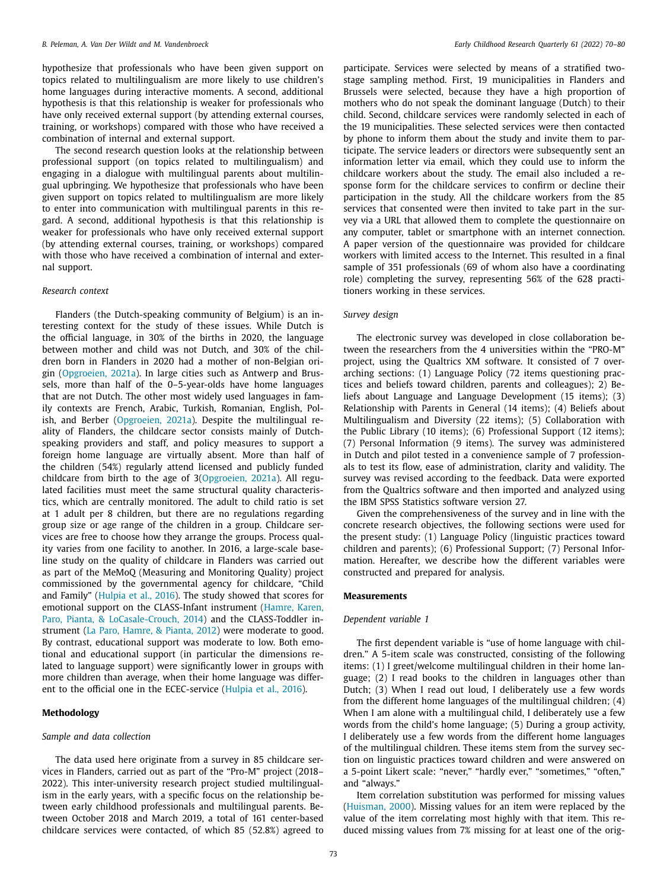hypothesize that professionals who have been given support on topics related to multilingualism are more likely to use children's home languages during interactive moments. A second, additional hypothesis is that this relationship is weaker for professionals who have only received external support (by attending external courses, training, or workshops) compared with those who have received a combination of internal and external support.

The second research question looks at the relationship between professional support (on topics related to multilingualism) and engaging in a dialogue with multilingual parents about multilingual upbringing. We hypothesize that professionals who have been given support on topics related to multilingualism are more likely to enter into communication with multilingual parents in this regard. A second, additional hypothesis is that this relationship is weaker for professionals who have only received external support (by attending external courses, training, or workshops) compared with those who have received a combination of internal and external support.

## *Research context*

Flanders (the Dutch-speaking community of Belgium) is an interesting context for the study of these issues. While Dutch is the official language, in 30% of the births in 2020, the language between mother and child was not Dutch, and 30% of the children born in Flanders in 2020 had a mother of non-Belgian origin [\(Opgroeien,](#page-10-0) 2021a). In large cities such as Antwerp and Brussels, more than half of the 0–5-year-olds have home languages that are not Dutch. The other most widely used languages in family contexts are French, Arabic, Turkish, Romanian, English, Polish, and Berber [\(Opgroeien,](#page-10-0) 2021a). Despite the multilingual reality of Flanders, the childcare sector consists mainly of Dutchspeaking providers and staff, and policy measures to support a foreign home language are virtually absent. More than half of the children (54%) regularly attend licensed and publicly funded childcare from birth to the age of 3[\(Opgroeien,](#page-10-0) 2021a). All regulated facilities must meet the same structural quality characteristics, which are centrally monitored. The adult to child ratio is set at 1 adult per 8 children, but there are no regulations regarding group size or age range of the children in a group. Childcare services are free to choose how they arrange the groups. Process quality varies from one facility to another. In 2016, a large-scale baseline study on the quality of childcare in Flanders was carried out as part of the MeMoQ (Measuring and Monitoring Quality) project commissioned by the governmental agency for childcare, "Child and Family" [\(Hulpia](#page-10-0) et al., 2016). The study showed that scores for emotional support on the CLASS-Infant instrument (Hamre, Karen, Paro, Pianta, & [LoCasale-Crouch,](#page-9-0) 2014) and the CLASS-Toddler instrument (La Paro, [Hamre,](#page-9-0) & Pianta, 2012) were moderate to good. By contrast, educational support was moderate to low. Both emotional and educational support (in particular the dimensions related to language support) were significantly lower in groups with more children than average, when their home language was different to the official one in the ECEC-service [\(Hulpia](#page-10-0) et al., 2016).

#### **Methodology**

# *Sample and data collection*

The data used here originate from a survey in 85 childcare services in Flanders, carried out as part of the "Pro-M" project (2018– 2022). This inter-university research project studied multilingualism in the early years, with a specific focus on the relationship between early childhood professionals and multilingual parents. Between October 2018 and March 2019, a total of 161 center-based childcare services were contacted, of which 85 (52.8%) agreed to participate. Services were selected by means of a stratified twostage sampling method. First, 19 municipalities in Flanders and Brussels were selected, because they have a high proportion of mothers who do not speak the dominant language (Dutch) to their child. Second, childcare services were randomly selected in each of the 19 municipalities. These selected services were then contacted by phone to inform them about the study and invite them to participate. The service leaders or directors were subsequently sent an information letter via email, which they could use to inform the childcare workers about the study. The email also included a response form for the childcare services to confirm or decline their participation in the study. All the childcare workers from the 85 services that consented were then invited to take part in the survey via a URL that allowed them to complete the questionnaire on any computer, tablet or smartphone with an internet connection. A paper version of the questionnaire was provided for childcare workers with limited access to the Internet. This resulted in a final sample of 351 professionals (69 of whom also have a coordinating role) completing the survey, representing 56% of the 628 practitioners working in these services.

# *Survey design*

The electronic survey was developed in close collaboration between the researchers from the 4 universities within the "PRO-M" project, using the Qualtrics XM software. It consisted of 7 overarching sections: (1) Language Policy (72 items questioning practices and beliefs toward children, parents and colleagues); 2) Beliefs about Language and Language Development (15 items); (3) Relationship with Parents in General (14 items); (4) Beliefs about Multilingualism and Diversity (22 items); (5) Collaboration with the Public Library (10 items); (6) Professional Support (12 items); (7) Personal Information (9 items). The survey was administered in Dutch and pilot tested in a convenience sample of 7 professionals to test its flow, ease of administration, clarity and validity. The survey was revised according to the feedback. Data were exported from the Qualtrics software and then imported and analyzed using the IBM SPSS Statistics software version 27.

Given the comprehensiveness of the survey and in line with the concrete research objectives, the following sections were used for the present study: (1) Language Policy (linguistic practices toward children and parents); (6) Professional Support; (7) Personal Information. Hereafter, we describe how the different variables were constructed and prepared for analysis.

# **Measurements**

#### *Dependent variable 1*

The first dependent variable is "use of home language with children." A 5-item scale was constructed, consisting of the following items: (1) I greet/welcome multilingual children in their home language; (2) I read books to the children in languages other than Dutch; (3) When I read out loud, I deliberately use a few words from the different home languages of the multilingual children; (4) When I am alone with a multilingual child, I deliberately use a few words from the child's home language; (5) During a group activity, I deliberately use a few words from the different home languages of the multilingual children. These items stem from the survey section on linguistic practices toward children and were answered on a 5-point Likert scale: "never," "hardly ever," "sometimes," "often," and "always."

Item correlation substitution was performed for missing values [\(Huisman,](#page-9-0) 2000). Missing values for an item were replaced by the value of the item correlating most highly with that item. This reduced missing values from 7% missing for at least one of the orig-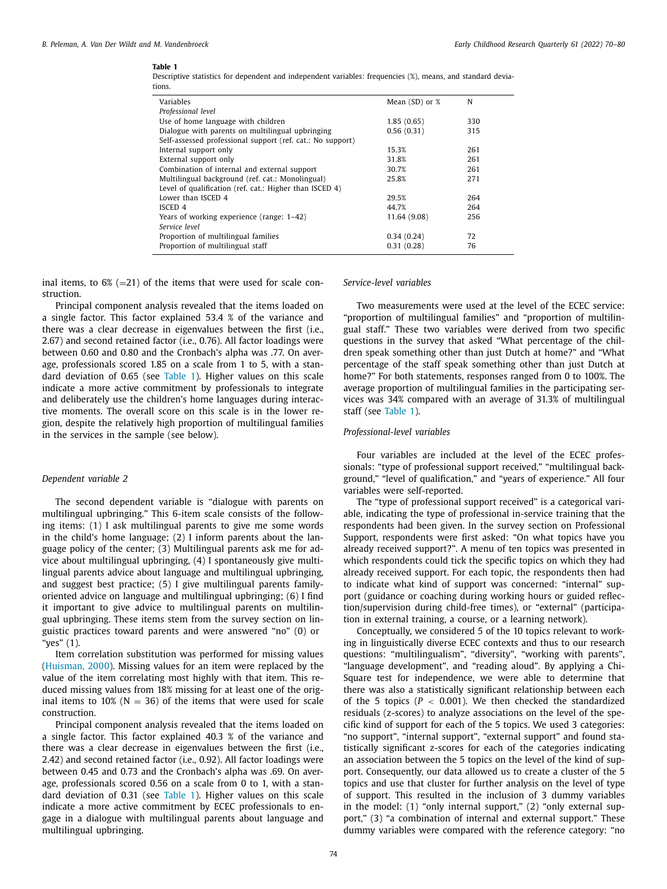#### **Table 1**

Descriptive statistics for dependent and independent variables: frequencies (%), means, and standard deviations.

| Variables                                                  | Mean $(SD)$ or $%$ | N   |
|------------------------------------------------------------|--------------------|-----|
| Professional level                                         |                    |     |
| Use of home language with children                         | 1.85(0.65)         | 330 |
| Dialogue with parents on multilingual upbringing           | 0.56(0.31)         | 315 |
| Self-assessed professional support (ref. cat.: No support) |                    |     |
| Internal support only                                      | 15.3%              | 261 |
| External support only                                      | 31.8%              | 261 |
| Combination of internal and external support               | 30.7%              | 261 |
| Multilingual background (ref. cat.: Monolingual)           | 25.8%              | 271 |
| Level of qualification (ref. cat.: Higher than ISCED 4)    |                    |     |
| Lower than ISCED 4                                         | 29.5%              | 264 |
| ISCED <sub>4</sub>                                         | 44.7%              | 264 |
| Years of working experience (range: 1–42)                  | 11.64 (9.08)       | 256 |
| Service level                                              |                    |     |
| Proportion of multilingual families                        | 0.34(0.24)         | 72  |
| Proportion of multilingual staff                           | 0.31(0.28)         | 76  |
|                                                            |                    |     |

inal items, to  $6\%$  (=21) of the items that were used for scale construction.

Principal component analysis revealed that the items loaded on a single factor. This factor explained 53.4 % of the variance and there was a clear decrease in eigenvalues between the first (i.e., 2.67) and second retained factor (i.e., 0.76). All factor loadings were between 0.60 and 0.80 and the Cronbach's alpha was .77. On average, professionals scored 1.85 on a scale from 1 to 5, with a standard deviation of 0.65 (see Table 1). Higher values on this scale indicate a more active commitment by professionals to integrate and deliberately use the children's home languages during interactive moments. The overall score on this scale is in the lower region, despite the relatively high proportion of multilingual families in the services in the sample (see below).

# *Dependent variable 2*

The second dependent variable is "dialogue with parents on multilingual upbringing." This 6-item scale consists of the following items: (1) I ask multilingual parents to give me some words in the child's home language; (2) I inform parents about the language policy of the center; (3) Multilingual parents ask me for advice about multilingual upbringing, (4) I spontaneously give multilingual parents advice about language and multilingual upbringing, and suggest best practice; (5) I give multilingual parents familyoriented advice on language and multilingual upbringing; (6) I find it important to give advice to multilingual parents on multilingual upbringing. These items stem from the survey section on linguistic practices toward parents and were answered "no" (0) or "yes" (1).

Item correlation substitution was performed for missing values [\(Huisman,](#page-9-0) 2000). Missing values for an item were replaced by the value of the item correlating most highly with that item. This reduced missing values from 18% missing for at least one of the original items to 10% ( $N = 36$ ) of the items that were used for scale construction.

Principal component analysis revealed that the items loaded on a single factor. This factor explained 40.3 % of the variance and there was a clear decrease in eigenvalues between the first (i.e., 2.42) and second retained factor (i.e., 0.92). All factor loadings were between 0.45 and 0.73 and the Cronbach's alpha was .69. On average, professionals scored 0.56 on a scale from 0 to 1, with a standard deviation of 0.31 (see Table 1). Higher values on this scale indicate a more active commitment by ECEC professionals to engage in a dialogue with multilingual parents about language and multilingual upbringing.

# *Service-level variables*

Two measurements were used at the level of the ECEC service: "proportion of multilingual families" and "proportion of multilingual staff." These two variables were derived from two specific questions in the survey that asked "What percentage of the children speak something other than just Dutch at home?" and "What percentage of the staff speak something other than just Dutch at home?" For both statements, responses ranged from 0 to 100%. The average proportion of multilingual families in the participating services was 34% compared with an average of 31.3% of multilingual staff (see Table 1).

#### *Professional-level variables*

Four variables are included at the level of the ECEC professionals: "type of professional support received," "multilingual background," "level of qualification," and "years of experience." All four variables were self-reported.

The "type of professional support received" is a categorical variable, indicating the type of professional in-service training that the respondents had been given. In the survey section on Professional Support, respondents were first asked: "On what topics have you already received support?". A menu of ten topics was presented in which respondents could tick the specific topics on which they had already received support. For each topic, the respondents then had to indicate what kind of support was concerned: "internal" support (guidance or coaching during working hours or guided reflection/supervision during child-free times), or "external" (participation in external training, a course, or a learning network).

Conceptually, we considered 5 of the 10 topics relevant to working in linguistically diverse ECEC contexts and thus to our research questions: "multilingualism", "diversity", "working with parents", "language development", and "reading aloud". By applying a Chi-Square test for independence, we were able to determine that there was also a statistically significant relationship between each of the 5 topics  $(P < 0.001)$ . We then checked the standardized residuals (z-scores) to analyze associations on the level of the specific kind of support for each of the 5 topics. We used 3 categories: "no support", "internal support", "external support" and found statistically significant z-scores for each of the categories indicating an association between the 5 topics on the level of the kind of support. Consequently, our data allowed us to create a cluster of the 5 topics and use that cluster for further analysis on the level of type of support. This resulted in the inclusion of 3 dummy variables in the model: (1) "only internal support," (2) "only external support," (3) "a combination of internal and external support." These dummy variables were compared with the reference category: "no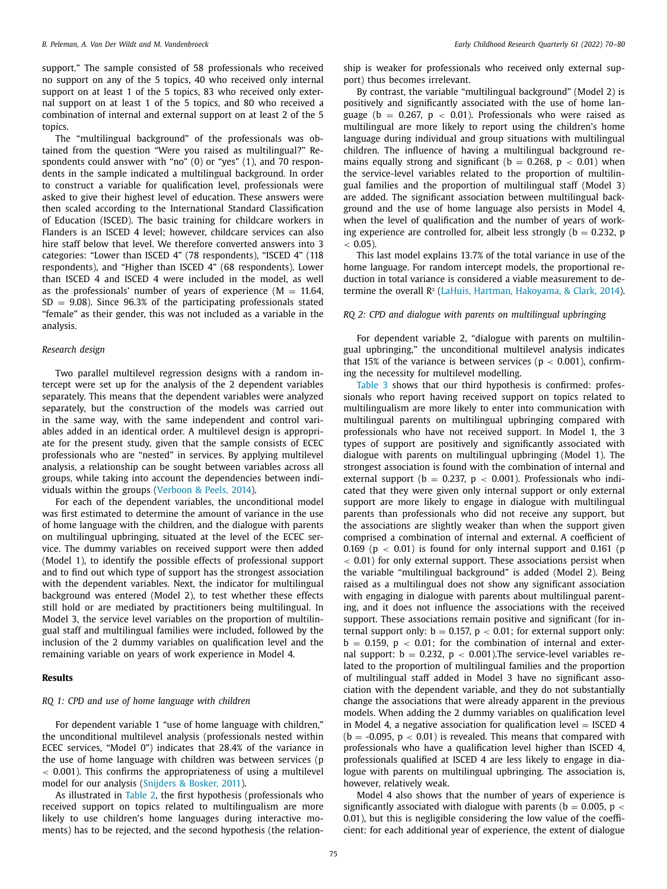support." The sample consisted of 58 professionals who received no support on any of the 5 topics, 40 who received only internal support on at least 1 of the 5 topics, 83 who received only external support on at least 1 of the 5 topics, and 80 who received a combination of internal and external support on at least 2 of the 5 topics.

The "multilingual background" of the professionals was obtained from the question "Were you raised as multilingual?" Respondents could answer with "no" (0) or "yes" (1), and 70 respondents in the sample indicated a multilingual background. In order to construct a variable for qualification level, professionals were asked to give their highest level of education. These answers were then scaled according to the International Standard Classification of Education (ISCED). The basic training for childcare workers in Flanders is an ISCED 4 level; however, childcare services can also hire staff below that level. We therefore converted answers into 3 categories: "Lower than ISCED 4" (78 respondents), "ISCED 4" (118 respondents), and "Higher than ISCED 4" (68 respondents). Lower than ISCED 4 and ISCED 4 were included in the model, as well as the professionals' number of years of experience  $(M = 11.64,$  $SD = 9.08$ ). Since 96.3% of the participating professionals stated "female" as their gender, this was not included as a variable in the analysis.

# *Research design*

Two parallel multilevel regression designs with a random intercept were set up for the analysis of the 2 dependent variables separately. This means that the dependent variables were analyzed separately, but the construction of the models was carried out in the same way, with the same independent and control variables added in an identical order. A multilevel design is appropriate for the present study, given that the sample consists of ECEC professionals who are "nested" in services. By applying multilevel analysis, a relationship can be sought between variables across all groups, while taking into account the dependencies between individuals within the groups [\(Verboon](#page-10-0) & Peels, 2014).

For each of the dependent variables, the unconditional model was first estimated to determine the amount of variance in the use of home language with the children, and the dialogue with parents on multilingual upbringing, situated at the level of the ECEC service. The dummy variables on received support were then added (Model 1), to identify the possible effects of professional support and to find out which type of support has the strongest association with the dependent variables. Next, the indicator for multilingual background was entered (Model 2), to test whether these effects still hold or are mediated by practitioners being multilingual. In Model 3, the service level variables on the proportion of multilingual staff and multilingual families were included, followed by the inclusion of the 2 dummy variables on qualification level and the remaining variable on years of work experience in Model 4.

#### **Results**

# *RQ 1: CPD and use of home language with children*

For dependent variable 1 "use of home language with children," the unconditional multilevel analysis (professionals nested within ECEC services, "Model 0") indicates that 28.4% of the variance in the use of home language with children was between services (p  $<$  0.001). This confirms the appropriateness of using a multilevel model for our analysis [\(Snijders](#page-10-0) & Bosker, 2011).

As illustrated in [Table](#page-6-0) 2, the first hypothesis (professionals who received support on topics related to multilingualism are more likely to use children's home languages during interactive moments) has to be rejected, and the second hypothesis (the relationship is weaker for professionals who received only external support) thus becomes irrelevant.

By contrast, the variable "multilingual background" (Model 2) is positively and significantly associated with the use of home language (b = 0.267, p  $<$  0.01). Professionals who were raised as multilingual are more likely to report using the children's home language during individual and group situations with multilingual children. The influence of having a multilingual background remains equally strong and significant ( $b = 0.268$ ,  $p < 0.01$ ) when the service-level variables related to the proportion of multilingual families and the proportion of multilingual staff (Model 3) are added. The significant association between multilingual background and the use of home language also persists in Model 4, when the level of qualification and the number of years of working experience are controlled for, albeit less strongly ( $b = 0.232$ , p  $< 0.05$ ).

This last model explains 13.7% of the total variance in use of the home language. For random intercept models, the proportional reduction in total variance is considered a viable measurement to determine the overall R² (LaHuis, Hartman, [Hakoyama,](#page-9-0) & Clark, 2014).

# *RQ 2: CPD and dialogue with parents on multilingual upbringing*

For dependent variable 2, "dialogue with parents on multilingual upbringing," the unconditional multilevel analysis indicates that 15% of the variance is between services ( $p < 0.001$ ), confirming the necessity for multilevel modelling.

[Table](#page-6-0) 3 shows that our third hypothesis is confirmed: professionals who report having received support on topics related to multilingualism are more likely to enter into communication with multilingual parents on multilingual upbringing compared with professionals who have not received support. In Model 1, the 3 types of support are positively and significantly associated with dialogue with parents on multilingual upbringing (Model 1). The strongest association is found with the combination of internal and external support ( $b = 0.237$ ,  $p < 0.001$ ). Professionals who indicated that they were given only internal support or only external support are more likely to engage in dialogue with multilingual parents than professionals who did not receive any support, but the associations are slightly weaker than when the support given comprised a combination of internal and external. A coefficient of 0.169 ( $p < 0.01$ ) is found for only internal support and 0.161 ( $p$ ) < 0.01) for only external support. These associations persist when the variable "multilingual background" is added (Model 2). Being raised as a multilingual does not show any significant association with engaging in dialogue with parents about multilingual parenting, and it does not influence the associations with the received support. These associations remain positive and significant (for internal support only:  $b = 0.157$ ,  $p < 0.01$ ; for external support only:  $b = 0.159$ ,  $p < 0.01$ ; for the combination of internal and external support:  $b = 0.232$ ,  $p < 0.001$ ). The service-level variables related to the proportion of multilingual families and the proportion of multilingual staff added in Model 3 have no significant association with the dependent variable, and they do not substantially change the associations that were already apparent in the previous models. When adding the 2 dummy variables on qualification level in Model 4, a negative association for qualification level  $=$  ISCED 4  $(b = -0.095, p < 0.01)$  is revealed. This means that compared with professionals who have a qualification level higher than ISCED 4, professionals qualified at ISCED 4 are less likely to engage in dialogue with parents on multilingual upbringing. The association is, however, relatively weak.

Model 4 also shows that the number of years of experience is significantly associated with dialogue with parents ( $b = 0.005$ ,  $p <$ 0.01), but this is negligible considering the low value of the coefficient: for each additional year of experience, the extent of dialogue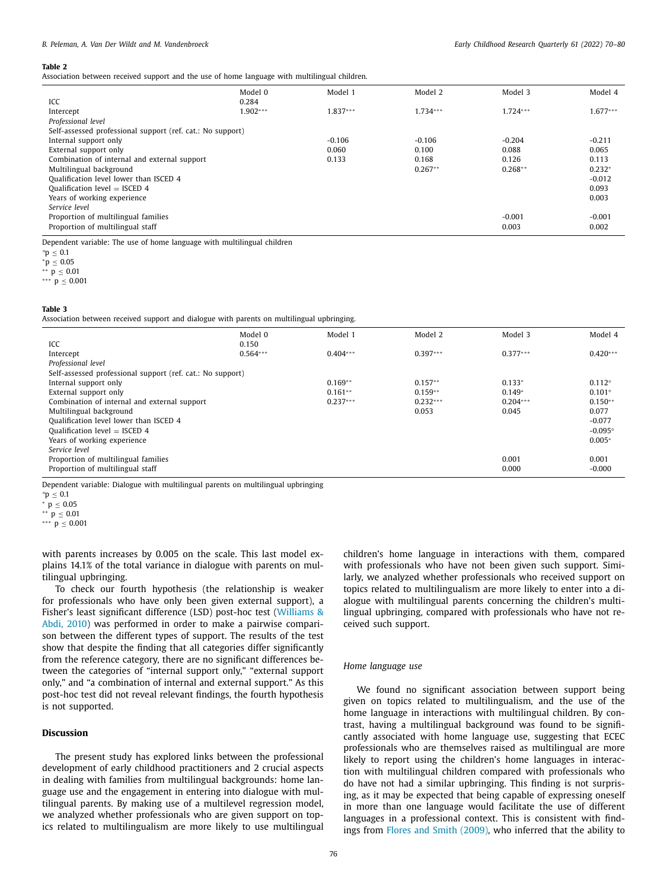#### <span id="page-6-0"></span>**Table 2**

Association between received support and the use of home language with multilingual children.

|                                                            | Model 0    | Model 1    | Model 2    | Model 3    | Model 4    |  |  |
|------------------------------------------------------------|------------|------------|------------|------------|------------|--|--|
| ICC                                                        | 0.284      |            |            |            |            |  |  |
| Intercept                                                  | $1.902***$ | $1.837***$ | $1.734***$ | $1.724***$ | $1.677***$ |  |  |
| Professional level                                         |            |            |            |            |            |  |  |
| Self-assessed professional support (ref. cat.: No support) |            |            |            |            |            |  |  |
| Internal support only                                      |            | $-0.106$   | $-0.106$   | $-0.204$   | $-0.211$   |  |  |
| External support only                                      |            | 0.060      | 0.100      | 0.088      | 0.065      |  |  |
| Combination of internal and external support               |            | 0.133      | 0.168      | 0.126      | 0.113      |  |  |
| Multilingual background                                    |            |            | $0.267**$  | $0.268**$  | $0.232*$   |  |  |
| Qualification level lower than ISCED 4                     |            |            |            |            | $-0.012$   |  |  |
| Qualification level $=$ ISCED 4                            |            |            |            |            | 0.093      |  |  |
| Years of working experience                                |            |            |            |            | 0.003      |  |  |
| Service level                                              |            |            |            |            |            |  |  |
| Proportion of multilingual families                        |            |            |            | $-0.001$   | $-0.001$   |  |  |
| Proportion of multilingual staff                           |            |            |            | 0.003      | 0.002      |  |  |
|                                                            |            |            |            |            |            |  |  |

Dependent variable: The use of home language with multilingual children

 $*$   $p$  ≤ 0.01 ∗∗∗ p ≤ 0.001

#### **Table 3**

Association between received support and dialogue with parents on multilingual upbringing.

|                                                            | Model 0    | Model 1    | Model 2    | Model 3    | Model 4          |  |  |  |
|------------------------------------------------------------|------------|------------|------------|------------|------------------|--|--|--|
| ICC                                                        | 0.150      |            |            |            |                  |  |  |  |
| Intercept                                                  | $0.564***$ | $0.404***$ | $0.397***$ | $0.377***$ | $0.420***$       |  |  |  |
| Professional level                                         |            |            |            |            |                  |  |  |  |
| Self-assessed professional support (ref. cat.: No support) |            |            |            |            |                  |  |  |  |
| Internal support only                                      |            | $0.169**$  | $0.157**$  | $0.133*$   | $0.112^{\circ}$  |  |  |  |
| External support only                                      |            | $0.161**$  | $0.159**$  | $0.149*$   | $0.101^{\circ}$  |  |  |  |
| Combination of internal and external support               |            | $0.237***$ | $0.232***$ | $0.204***$ | $0.150**$        |  |  |  |
| Multilingual background                                    |            |            | 0.053      | 0.045      | 0.077            |  |  |  |
| Qualification level lower than ISCED 4                     |            |            |            |            | $-0.077$         |  |  |  |
| Qualification level $=$ ISCED 4                            |            |            |            |            | $-0.095^{\circ}$ |  |  |  |
| Years of working experience                                |            |            |            |            | $0.005*$         |  |  |  |
| Service level                                              |            |            |            |            |                  |  |  |  |
| Proportion of multilingual families                        |            |            |            | 0.001      | 0.001            |  |  |  |
| Proportion of multilingual staff                           |            |            |            | 0.000      | $-0.000$         |  |  |  |
|                                                            |            |            |            |            |                  |  |  |  |

Dependent variable: Dialogue with multilingual parents on multilingual upbringing

 $*^{*} p \leq 0.01$ 

∗∗∗ p ≤ 0.001

with parents increases by 0.005 on the scale. This last model explains 14.1% of the total variance in dialogue with parents on multilingual upbringing.

To check our fourth hypothesis (the relationship is weaker for professionals who have only been given external support), a Fisher's least significant difference (LSD) post-hoc test (Williams & Abdi, 2010) was [performed](#page-10-0) in order to make a pairwise comparison between the different types of support. The results of the test show that despite the finding that all categories differ significantly from the reference category, there are no significant differences between the categories of "internal support only," "external support only," and "a combination of internal and external support." As this post-hoc test did not reveal relevant findings, the fourth hypothesis is not supported.

# **Discussion**

The present study has explored links between the professional development of early childhood practitioners and 2 crucial aspects in dealing with families from multilingual backgrounds: home language use and the engagement in entering into dialogue with multilingual parents. By making use of a multilevel regression model, we analyzed whether professionals who are given support on topics related to multilingualism are more likely to use multilingual children's home language in interactions with them, compared with professionals who have not been given such support. Similarly, we analyzed whether professionals who received support on topics related to multilingualism are more likely to enter into a dialogue with multilingual parents concerning the children's multilingual upbringing, compared with professionals who have not received such support.

#### *Home language use*

We found no significant association between support being given on topics related to multilingualism, and the use of the home language in interactions with multilingual children. By contrast, having a multilingual background was found to be significantly associated with home language use, suggesting that ECEC professionals who are themselves raised as multilingual are more likely to report using the children's home languages in interaction with multilingual children compared with professionals who do have not had a similar upbringing. This finding is not surprising, as it may be expected that being capable of expressing oneself in more than one language would facilitate the use of different languages in a professional context. This is consistent with findings from Flores and Smith [\(2009\),](#page-9-0) who inferred that the ability to

*<sup>°</sup>*p ≤ 0.1

 $p \leq 0.05$ 

*<sup>°</sup>*p ≤ 0.1

<sup>∗</sup> p ≤ 0.05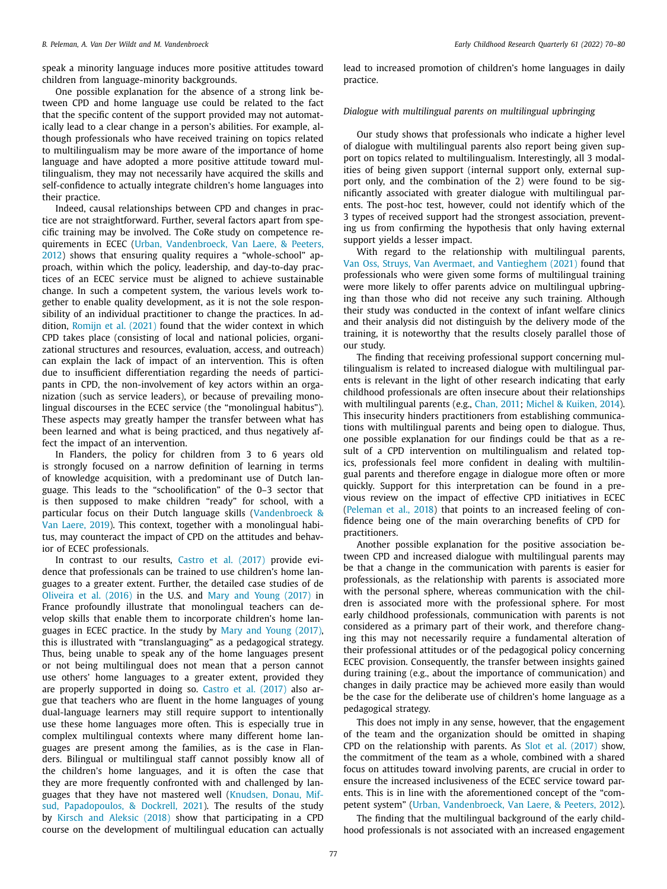speak a minority language induces more positive attitudes toward children from language-minority backgrounds.

One possible explanation for the absence of a strong link between CPD and home language use could be related to the fact that the specific content of the support provided may not automatically lead to a clear change in a person's abilities. For example, although professionals who have received training on topics related to multilingualism may be more aware of the importance of home language and have adopted a more positive attitude toward multilingualism, they may not necessarily have acquired the skills and self-confidence to actually integrate children's home languages into their practice.

Indeed, causal relationships between CPD and changes in practice are not straightforward. Further, several factors apart from specific training may be involved. The CoRe study on competence requirements in ECEC (Urban, Vandenbroeck, Van Laere, & Peeters, 2012) shows that ensuring quality requires a ["whole-school" ap](#page-10-0)proach, within which the policy, leadership, and day-to-day practices of an ECEC service must be aligned to achieve sustainable change. In such a competent system, the various levels work together to enable quality development, as it is not the sole responsibility of an individual practitioner to change the practices. In addition, [Romijn](#page-10-0) et al. (2021) found that the wider context in which CPD takes place (consisting of local and national policies, organizational structures and resources, evaluation, access, and outreach) can explain the lack of impact of an intervention. This is often due to insufficient differentiation regarding the needs of participants in CPD, the non-involvement of key actors within an organization (such as service leaders), or because of prevailing monolingual discourses in the ECEC service (the "monolingual habitus"). These aspects may greatly hamper the transfer between what has been learned and what is being practiced, and thus negatively affect the impact of an intervention.

In Flanders, the policy for children from 3 to 6 years old is strongly focused on a narrow definition of learning in terms of knowledge acquisition, with a predominant use of Dutch language. This leads to the "schoolification" of the 0–3 sector that is then supposed to make children "ready" for school, with a particular focus on their Dutch language skills [\(Vandenbroeck](#page-10-0) & Van Laere, 2019). This context, together with a monolingual habitus, may counteract the impact of CPD on the attitudes and behavior of ECEC professionals.

In contrast to our results, Castro et al. [\(2017\)](#page-9-0) provide evidence that professionals can be trained to use children's home languages to a greater extent. Further, the detailed case studies of de [Oliveira](#page-9-0) et al. (2016) in the U.S. and Mary and Young [\(2017\)](#page-10-0) in France profoundly illustrate that monolingual teachers can develop skills that enable them to incorporate children's home languages in ECEC practice. In the study by Mary and Young [\(2017\),](#page-10-0) this is illustrated with "translanguaging" as a pedagogical strategy. Thus, being unable to speak any of the home languages present or not being multilingual does not mean that a person cannot use others' home languages to a greater extent, provided they are properly supported in doing so. Castro et al. [\(2017\)](#page-9-0) also argue that teachers who are fluent in the home languages of young dual-language learners may still require support to intentionally use these home languages more often. This is especially true in complex multilingual contexts where many different home languages are present among the families, as is the case in Flanders. Bilingual or multilingual staff cannot possibly know all of the children's home languages, and it is often the case that they are more frequently confronted with and challenged by languages that they have not mastered well (Knudsen, Donau, Mifsud, [Papadopoulos,](#page-9-0) & Dockrell, 2021). The results of the study by Kirsch and [Aleksic](#page-9-0) (2018) show that participating in a CPD course on the development of multilingual education can actually lead to increased promotion of children's home languages in daily practice.

# *Dialogue with multilingual parents on multilingual upbringing*

Our study shows that professionals who indicate a higher level of dialogue with multilingual parents also report being given support on topics related to multilingualism. Interestingly, all 3 modalities of being given support (internal support only, external support only, and the combination of the 2) were found to be significantly associated with greater dialogue with multilingual parents. The post-hoc test, however, could not identify which of the 3 types of received support had the strongest association, preventing us from confirming the hypothesis that only having external support yields a lesser impact.

With regard to the relationship with multilingual parents, Van Oss, Struys, Van Avermaet, and [Vantieghem](#page-10-0) (2021) found that professionals who were given some forms of multilingual training were more likely to offer parents advice on multilingual upbringing than those who did not receive any such training. Although their study was conducted in the context of infant welfare clinics and their analysis did not distinguish by the delivery mode of the training, it is noteworthy that the results closely parallel those of our study.

The finding that receiving professional support concerning multilingualism is related to increased dialogue with multilingual parents is relevant in the light of other research indicating that early childhood professionals are often insecure about their relationships with multilingual parents (e.g., [Chan,](#page-9-0) 2011; Michel & [Kuiken,](#page-10-0) 2014). This insecurity hinders practitioners from establishing communications with multilingual parents and being open to dialogue. Thus, one possible explanation for our findings could be that as a result of a CPD intervention on multilingualism and related topics, professionals feel more confident in dealing with multilingual parents and therefore engage in dialogue more often or more quickly. Support for this interpretation can be found in a previous review on the impact of effective CPD initiatives in ECEC [\(Peleman](#page-10-0) et al., 2018) that points to an increased feeling of confidence being one of the main overarching benefits of CPD for practitioners.

Another possible explanation for the positive association between CPD and increased dialogue with multilingual parents may be that a change in the communication with parents is easier for professionals, as the relationship with parents is associated more with the personal sphere, whereas communication with the children is associated more with the professional sphere. For most early childhood professionals, communication with parents is not considered as a primary part of their work, and therefore changing this may not necessarily require a fundamental alteration of their professional attitudes or of the pedagogical policy concerning ECEC provision. Consequently, the transfer between insights gained during training (e.g., about the importance of communication) and changes in daily practice may be achieved more easily than would be the case for the deliberate use of children's home language as a pedagogical strategy.

This does not imply in any sense, however, that the engagement of the team and the organization should be omitted in shaping CPD on the relationship with parents. As Slot et al. [\(2017\)](#page-10-0) show, the commitment of the team as a whole, combined with a shared focus on attitudes toward involving parents, are crucial in order to ensure the increased inclusiveness of the ECEC service toward parents. This is in line with the aforementioned concept of the "competent system" (Urban, [Vandenbroeck,](#page-10-0) Van Laere, & Peeters, 2012).

The finding that the multilingual background of the early childhood professionals is not associated with an increased engagement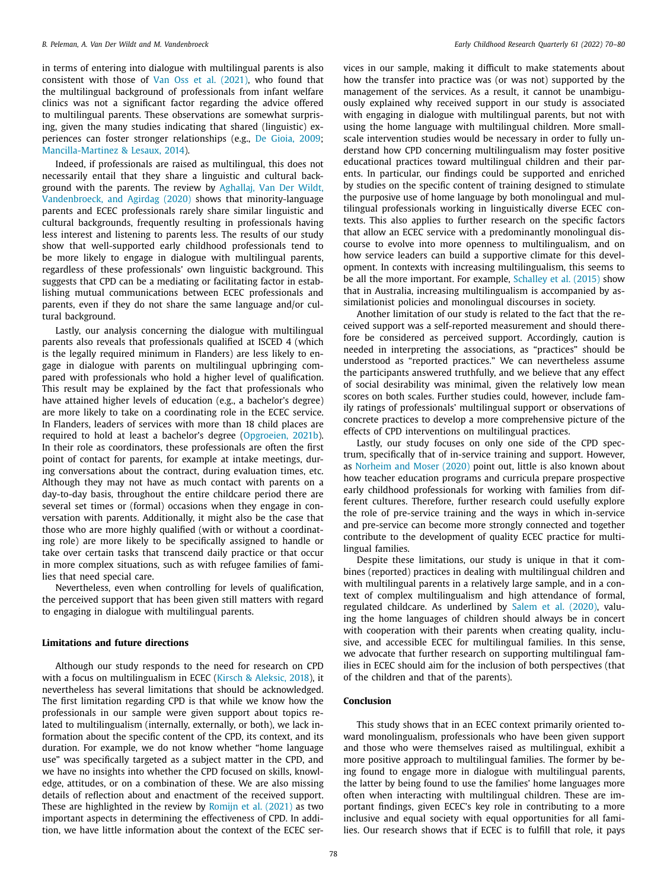in terms of entering into dialogue with multilingual parents is also consistent with those of Van Oss et al. [\(2021\),](#page-10-0) who found that the multilingual background of professionals from infant welfare clinics was not a significant factor regarding the advice offered to multilingual parents. These observations are somewhat surprising, given the many studies indicating that shared (linguistic) experiences can foster stronger relationships (e.g., De [Gioia,](#page-9-0) 2009; [Mancilla-Martinez](#page-9-0) & Lesaux, 2014).

Indeed, if professionals are raised as multilingual, this does not necessarily entail that they share a linguistic and cultural background with the parents. The review by Aghallaj, Van Der Wildt, Vandenbroeck, and Agirdag (2020) shows that [minority-language](#page-9-0) parents and ECEC professionals rarely share similar linguistic and cultural backgrounds, frequently resulting in professionals having less interest and listening to parents less. The results of our study show that well-supported early childhood professionals tend to be more likely to engage in dialogue with multilingual parents, regardless of these professionals' own linguistic background. This suggests that CPD can be a mediating or facilitating factor in establishing mutual communications between ECEC professionals and parents, even if they do not share the same language and/or cultural background.

Lastly, our analysis concerning the dialogue with multilingual parents also reveals that professionals qualified at ISCED 4 (which is the legally required minimum in Flanders) are less likely to engage in dialogue with parents on multilingual upbringing compared with professionals who hold a higher level of qualification. This result may be explained by the fact that professionals who have attained higher levels of education (e.g., a bachelor's degree) are more likely to take on a coordinating role in the ECEC service. In Flanders, leaders of services with more than 18 child places are required to hold at least a bachelor's degree [\(Opgroeien,](#page-10-0) 2021b). In their role as coordinators, these professionals are often the first point of contact for parents, for example at intake meetings, during conversations about the contract, during evaluation times, etc. Although they may not have as much contact with parents on a day-to-day basis, throughout the entire childcare period there are several set times or (formal) occasions when they engage in conversation with parents. Additionally, it might also be the case that those who are more highly qualified (with or without a coordinating role) are more likely to be specifically assigned to handle or take over certain tasks that transcend daily practice or that occur in more complex situations, such as with refugee families of families that need special care.

Nevertheless, even when controlling for levels of qualification, the perceived support that has been given still matters with regard to engaging in dialogue with multilingual parents.

# **Limitations and future directions**

Although our study responds to the need for research on CPD with a focus on multilingualism in ECEC (Kirsch & [Aleksic,](#page-9-0) 2018), it nevertheless has several limitations that should be acknowledged. The first limitation regarding CPD is that while we know how the professionals in our sample were given support about topics related to multilingualism (internally, externally, or both), we lack information about the specific content of the CPD, its context, and its duration. For example, we do not know whether "home language use" was specifically targeted as a subject matter in the CPD, and we have no insights into whether the CPD focused on skills, knowledge, attitudes, or on a combination of these. We are also missing details of reflection about and enactment of the received support. These are highlighted in the review by [Romijn](#page-10-0) et al. (2021) as two important aspects in determining the effectiveness of CPD. In addition, we have little information about the context of the ECEC services in our sample, making it difficult to make statements about how the transfer into practice was (or was not) supported by the management of the services. As a result, it cannot be unambiguously explained why received support in our study is associated with engaging in dialogue with multilingual parents, but not with using the home language with multilingual children. More smallscale intervention studies would be necessary in order to fully understand how CPD concerning multilingualism may foster positive educational practices toward multilingual children and their parents. In particular, our findings could be supported and enriched by studies on the specific content of training designed to stimulate the purposive use of home language by both monolingual and multilingual professionals working in linguistically diverse ECEC contexts. This also applies to further research on the specific factors that allow an ECEC service with a predominantly monolingual discourse to evolve into more openness to multilingualism, and on how service leaders can build a supportive climate for this development. In contexts with increasing multilingualism, this seems to be all the more important. For example, [Schalley](#page-10-0) et al. (2015) show that in Australia, increasing multilingualism is accompanied by assimilationist policies and monolingual discourses in society.

Another limitation of our study is related to the fact that the received support was a self-reported measurement and should therefore be considered as perceived support. Accordingly, caution is needed in interpreting the associations, as "practices" should be understood as "reported practices." We can nevertheless assume the participants answered truthfully, and we believe that any effect of social desirability was minimal, given the relatively low mean scores on both scales. Further studies could, however, include family ratings of professionals' multilingual support or observations of concrete practices to develop a more comprehensive picture of the effects of CPD interventions on multilingual practices.

Lastly, our study focuses on only one side of the CPD spectrum, specifically that of in-service training and support. However, as [Norheim](#page-10-0) and Moser (2020) point out, little is also known about how teacher education programs and curricula prepare prospective early childhood professionals for working with families from different cultures. Therefore, further research could usefully explore the role of pre-service training and the ways in which in-service and pre-service can become more strongly connected and together contribute to the development of quality ECEC practice for multilingual families.

Despite these limitations, our study is unique in that it combines (reported) practices in dealing with multilingual children and with multilingual parents in a relatively large sample, and in a context of complex multilingualism and high attendance of formal, regulated childcare. As underlined by Salem et al. [\(2020\),](#page-10-0) valuing the home languages of children should always be in concert with cooperation with their parents when creating quality, inclusive, and accessible ECEC for multilingual families. In this sense, we advocate that further research on supporting multilingual families in ECEC should aim for the inclusion of both perspectives (that of the children and that of the parents).

### **Conclusion**

This study shows that in an ECEC context primarily oriented toward monolingualism, professionals who have been given support and those who were themselves raised as multilingual, exhibit a more positive approach to multilingual families. The former by being found to engage more in dialogue with multilingual parents, the latter by being found to use the families' home languages more often when interacting with multilingual children. These are important findings, given ECEC's key role in contributing to a more inclusive and equal society with equal opportunities for all families. Our research shows that if ECEC is to fulfill that role, it pays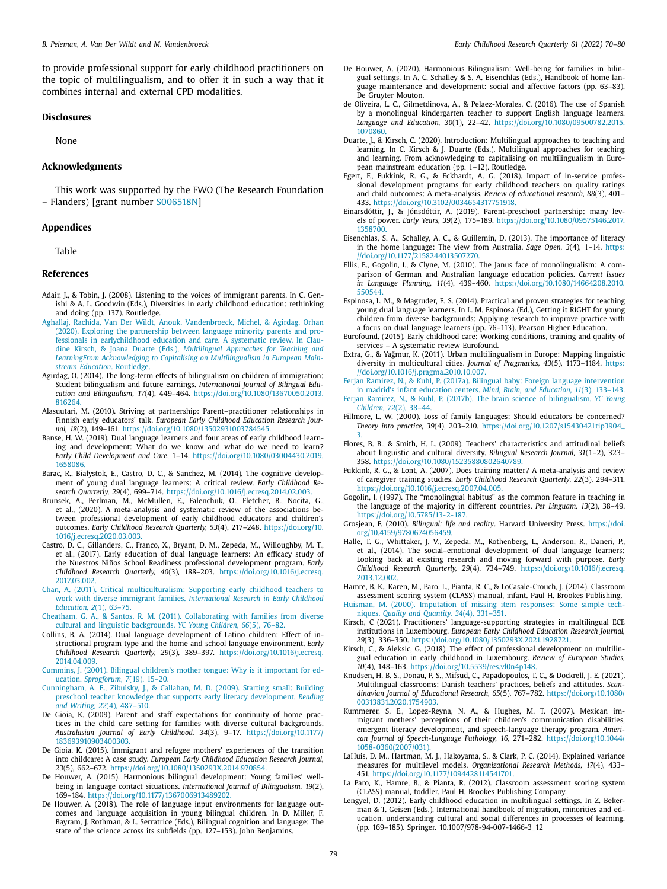<span id="page-9-0"></span>to provide professional support for early childhood practitioners on the topic of multilingualism, and to offer it in such a way that it combines internal and external CPD modalities.

# **Disclosures**

None

# **Acknowledgments**

This work was supported by the FWO (The Research Foundation – Flanders) [grant number S006518N]

# **Appendices**

Table

# **References**

- Adair, J., & Tobin, J. (2008). Listening to the voices of immigrant parents. In C. Genishi & A. L. Goodwin (Eds.), Diversities in early childhood education: rethinking and doing (pp. 137). Routledge.
- Aghallaj, Rachida, Van Der Wildt, Anouk, Vandenbroeck, Michel, & Agirdag, Orhan (2020). Exploring the partnership between language minority parents and professionals in earlychildhood education and care. A systematic review. In Claudine Kirsch, & Joana Duarte (Eds.), *Multilingual Approaches for Teaching and LearningFrom Acknowledging to Capitalising on [Multilingualism](http://refhub.elsevier.com/S0885-2006(22)00043-6/optne7119fuhj) in European Mainstream Education*. Routledge.
- Agirdag, O. (2014). The long-term effects of bilingualism on children of immigration: Student bilingualism and future earnings. *International Journal of Bilingual Education and Bilingualism, 17*(4), 449–464. [https://doi.org/10.1080/13670050.2013.](https://doi.org/10.1080/13670050.2013.816264) 816264.
- Alasuutari, M. (2010). Striving at partnership: Parent–practitioner relationships in Finnish early educators' talk. *European Early Childhood Education Research Journal, 18*(2), 149–161. [https://doi.org/10.1080/13502931003784545.](https://doi.org/10.1080/13502931003784545)
- Banse, H. W. (2019). Dual language learners and four areas of early childhood learning and development: What do we know and what do we need to learn? *Early Child Development and Care*, 1–14. [https://doi.org/10.1080/03004430.2019.](https://doi.org/10.1080/03004430.2019.1658086) 1658086.
- Barac, R., Bialystok, E., Castro, D. C., & Sanchez, M. (2014). The cognitive development of young dual language learners: A critical review. *Early Childhood Research Quarterly, 29*(4), 699–714. [https://doi.org/10.1016/j.ecresq.2014.02.003.](https://doi.org/10.1016/j.ecresq.2014.02.003)
- Brunsek, A., Perlman, M., McMullen, E., Falenchuk, O., Fletcher, B., Nocita, G., et al., (2020). A meta-analysis and systematic review of the associations between professional development of early childhood educators and children's outcomes. *Early Childhood Research Quarterly, 53*(4), 217–248. https://doi.org/10. [1016/j.ecresq.2020.03.003.](https://doi.org/10.1016/j.ecresq.2020.03.003)
- Castro, D. C., Gillanders, C., Franco, X., Bryant, D. M., Zepeda, M., Willoughby, M. T., et al., (2017). Early education of dual language learners: An efficacy study of the Nuestros Niños School Readiness professional development program. *Early Childhood Research Quarterly, 40*(3), 188–203. [https://doi.org/10.1016/j.ecresq.](https://doi.org/10.1016/j.ecresq.2017.03.002) 2017.03.002.
- Chan, A. (2011). Critical [multiculturalism:](http://refhub.elsevier.com/S0885-2006(22)00043-6/sbref0008) Supporting early childhood teachers to work with diverse immigrant families. *International Research in Early Childhood Education, 2*(1), 63–75.
- Cheatham, G. A., & Santos, R. M. (2011). [Collaborating](http://refhub.elsevier.com/S0885-2006(22)00043-6/sbref0009) with families from diverse cultural and linguistic backgrounds. *YC Young Children, 66*(5), 76–82.
- Collins, B. A. (2014). Dual language development of Latino children: Effect of instructional program type and the home and school language environment. *Early Childhood Research Quarterly, 29*(3), 389–397. [https://doi.org/10.1016/j.ecresq.](https://doi.org/10.1016/j.ecresq.2014.04.009) 2014.04.009.
- Cummins, J. (2001). Bilingual children's mother tongue: Why is it important for education. *[Sprogforum,](http://refhub.elsevier.com/S0885-2006(22)00043-6/sbref0011) 7*(19), 15–20.
- Cunningham, A. E., Zibulsky, J., & Callahan, M. D. (2009). Starting small: Building preschool teacher knowledge that supports early literacy [development.](http://refhub.elsevier.com/S0885-2006(22)00043-6/sbref0012) *Reading and Writing, 22*(4), 487–510.
- De Gioia, K. (2009). Parent and staff expectations for continuity of home practices in the child care setting for families with diverse cultural backgrounds. *Australasian Journal of Early Childhood, 34*(3), 9–17. [https://doi.org/10.1177/](https://doi.org/10.1177/183693910903400303) 183693910903400303.
- De Gioia, K. (2015). Immigrant and refugee mothers' experiences of the transition into childcare: A case study. *European Early Childhood Education Research Journal, 23*(5), 662–672. [https://doi.org/10.1080/1350293X.2014.970854.](https://doi.org/10.1080/1350293X.2014.970854)
- De Houwer, A. (2015). Harmonious bilingual development: Young families' wellbeing in language contact situations. *International Journal of Bilingualism, 19*(2), 169–184. [https://doi.org/10.1177/1367006913489202.](https://doi.org/10.1177/1367006913489202)
- De Houwer, A. (2018). The role of language input environments for language outcomes and language acquisition in young bilingual children. In D. Miller, F. Bayram, J. Rothman, & L. Serratrice (Eds.), Bilingual cognition and language: The state of the science across its subfields (pp. 127–153). John Benjamins.
- De Houwer, A. (2020). Harmonious Bilingualism: Well-being for families in bilingual settings. In A. C. Schalley & S. A. Eisenchlas (Eds.), Handbook of home language maintenance and development: social and affective factors (pp. 63–83). De Gruyter Mouton.
- de Oliveira, L. C., Gilmetdinova, A., & Pelaez-Morales, C. (2016). The use of Spanish by a monolingual kindergarten teacher to support English language learners. *Language and Education, 30*(1), 22–42. [https://doi.org/10.1080/09500782.2015.](https://doi.org/10.1080/09500782.2015.1070860) 1070860.
- Duarte, J., & Kirsch, C. (2020). Introduction: Multilingual approaches to teaching and learning. In C. Kirsch & J. Duarte (Eds.), Multilingual approaches for teaching and learning. From acknowledging to capitalising on multilingualism in European mainstream education (pp. 1–12). Routledge.
- Egert, F., Fukkink, R. G., & Eckhardt, A. G. (2018). Impact of in-service professional development programs for early childhood teachers on quality ratings and child outcomes: A meta-analysis. *Review of educational research, 88*(3), 401– 433. [https://doi.org/10.3102/0034654317751918.](https://doi.org/10.3102/0034654317751918)
- Einarsdóttir, J., & Jónsdóttir, A. (2019). Parent-preschool partnership: many levels of power. *Early Years, 39*(2), 175–189. [https://doi.org/10.1080/09575146.2017.](https://doi.org/10.1080/09575146.2017.1358700) 1358700.
- Eisenchlas, S. A., Schalley, A. C., & Guillemin, D. (2013). The importance of literacy in the home language: The view from Australia. *Sage Open, 3*(4), 1–14. https: [//doi.org/10.1177/2158244013507270.](https://doi.org/10.1177/2158244013507270)
- Ellis, E., Gogolin, I., & Clyne, M. (2010). The Janus face of monolingualism: A comparison of German and Australian language education policies. *Current Issues in Language Planning, 11*(4), 439–460. [https://doi.org/10.1080/14664208.2010.](https://doi.org/10.1080/14664208.2010.550544) 550544.
- Espinosa, L. M., & Magruder, E. S. (2014). Practical and proven strategies for teaching young dual language learners. In L. M. Espinosa (Ed.), Getting it RIGHT for young children from diverse backgrounds: Applying research to improve practice with a focus on dual language learners (pp. 76–113). Pearson Higher Education.
- Eurofound. (2015). Early childhood care: Working conditions, training and quality of services – A systematic review Eurofound.
- Extra, G., & Yağmur, K. (2011). Urban multilingualism in Europe: Mapping linguistic diversity in multicultural cities. *Journal of Pragmatics, 43*(5), 1173–1184. https: [//doi.org/10.1016/j.pragma.2010.10.007.](https://doi.org/10.1016/j.pragma.2010.10.007)

Ferjan Ramirez, N., & Kuhl, P. (2017a). Bilingual baby: Foreign language [intervention](http://refhub.elsevier.com/S0885-2006(22)00043-6/sbref0027)

in madrid's infant education centers. *Mind, Brain, and Education, 11*(3), 133–143. Ferjan Ramirez, N., & Kuhl, P. (2017b). The brain science of [bilingualism.](http://refhub.elsevier.com/S0885-2006(22)00043-6/sbref0028) *YC Young Children, 72*(2), 38–44.

- Fillmore, L. W. (2000). Loss of family languages: Should educators be concerned? *Theory into practice, 39*(4), 203–210. [https://doi.org/10.1207/s15430421tip3904\\_](https://doi.org/10.1207/s15430421tip3904_3) 3.
- Flores, B. B., & Smith, H. L. (2009). Teachers' characteristics and attitudinal beliefs about linguistic and cultural diversity. *Bilingual Research Journal, 31*(1–2), 323– 358. [https://doi.org/10.1080/15235880802640789.](https://doi.org/10.1080/15235880802640789)
- Fukkink, R. G., & Lont, A. (2007). Does training matter? A meta-analysis and review of caregiver training studies. *Early Childhood Research Quarterly, 22*(3), 294–311. [https://doi.org/10.1016/j.ecresq.2007.04.005.](https://doi.org/10.1016/j.ecresq.2007.04.005)
- Gogolin, I. (1997). The "monolingual habitus" as the common feature in teaching in the language of the majority in different countries. *Per Linguam, 13*(2), 38–49. [https://doi.org/10.5785/13-2-187.](https://doi.org/10.5785/13-2-187)
- Grosjean, F. (2010). *Bilingual: life and reality*. Harvard University Press. https://doi. [org/10.4159/9780674056459.](https://doi.org/10.4159/9780674056459)
- Halle, T. G., Whittaker, J. V., Zepeda, M., Rothenberg, L., Anderson, R., Daneri, P., et al., (2014). The social–emotional development of dual language learners: Looking back at existing research and moving forward with purpose. *Early Childhood Research Quarterly, 29*(4), 734–749. [https://doi.org/10.1016/j.ecresq.](https://doi.org/10.1016/j.ecresq.2013.12.002) 2013.12.002.

Hamre, B. K., Karen, M., Paro, L., Pianta, R. C., & LoCasale-Crouch, J. (2014). Classroom assessment scoring system (CLASS) manual, infant. Paul H. Brookes Publishing.

Huisman, M. (2000). [Imputation](http://refhub.elsevier.com/S0885-2006(22)00043-6/sbref0036) of missing item responses: Some simple techniques. *Quality and Quantity, 34*(4), 331–351.

- Kirsch, C (2021). Practitioners' language-supporting strategies in multilingual ECE institutions in Luxembourg. *European Early Childhood Education Research Journal, 29*(3), 336–350. [https://doi.org/10.1080/1350293X.2021.1928721.](https://doi.org/10.1080/1350293X.2021.1928721)
- Kirsch, C., & Aleksic, G. (2018). The effect of professional development on multilingual education in early childhood in Luxembourg. *Review of European Studies, 10*(4), 148–163. [https://doi.org/10.5539/res.vl0n4p148.](https://doi.org/10.5539/res.vl0n4p148)
- Knudsen, H. B. S., Donau, P. S., Mifsud, C., Papadopoulos, T. C., & Dockrell, J. E. (2021). Multilingual classrooms: Danish teachers' practices, beliefs and attitudes. *Scandinavian Journal of Educational Research, 65*(5), 767–782. https://doi.org/10.1080/ [00313831.2020.1754903.](https://doi.org/10.1080/00313831.2020.1754903)
- Kummerer, S. E., Lopez-Reyna, N. A., & Hughes, M. T. (2007). Mexican immigrant mothers' perceptions of their children's communication disabilities, emergent literacy development, and speech-language therapy program. *American Journal of Speech-Language Pathology, 16*, 271–282. [https://doi.org/10.1044/](https://doi.org/10.1044/1058-0360(2007/031)) 1058-0360(2007/031).
- LaHuis, D. M., Hartman, M. J., Hakoyama, S., & Clark, P. C. (2014). Explained variance measures for multilevel models. *Organizational Research Methods, 17*(4), 433– 451. [https://doi.org/10.1177/1094428114541701.](https://doi.org/10.1177/1094428114541701)
- La Paro, K., Hamre, B., & Pianta, R. (2012). Classroom assessment scoring system (CLASS) manual, toddler. Paul H. Brookes Publishing Company.
- Lengyel, D. (2012). Early childhood education in multilingual settings. In Z. Bekerman & T. Geisen (Eds.), International handbook of migration, minorities and education. understanding cultural and social differences in processes of learning. (pp. 169–185). Springer. 10.1007/978-94-007-1466-3\_12